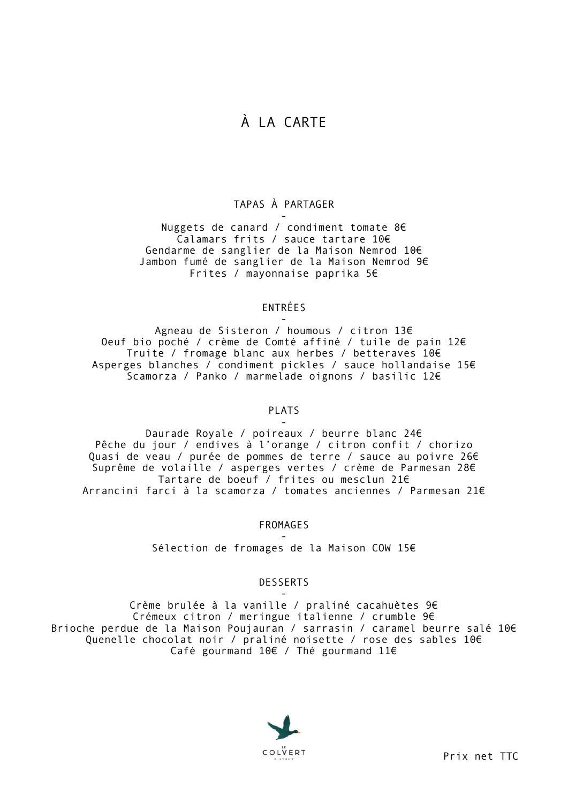# À LA CARTE

### TAPAS À PARTAGER

- Nuggets de canard / condiment tomate 8€ Calamars frits / sauce tartare 10€ Gendarme de sanglier de la Maison Nemrod 10€ Jambon fumé de sanglier de la Maison Nemrod 9€ Frites / mayonnaise paprika 5€

## ENTRÉES

- Agneau de Sisteron / houmous / citron 13€ Oeuf bio poché / crème de Comté affiné / tuile de pain 12€ Truite / fromage blanc aux herbes / betteraves 10€ Asperges blanches / condiment pickles / sauce hollandaise 15€ Scamorza / Panko / marmelade oignons / basilic 12€

### PLATS

- Daurade Royale / poireaux / beurre blanc 24€ Pêche du jour / endives à l'orange / citron confit / chorizo Quasi de veau / purée de pommes de terre / sauce au poivre 26€ Suprême de volaille / asperges vertes / crème de Parmesan 28€ Tartare de boeuf / frites ou mesclun 21€ Arrancini farci à la scamorza / tomates anciennes / Parmesan 21€

FROMAGES

- Sélection de fromages de la Maison COW 15€

### **DESSERTS**

- Crème brulée à la vanille / praliné cacahuètes 9€ Crémeux citron / meringue italienne / crumble 9€ Brioche perdue de la Maison Poujauran / sarrasin / caramel beurre salé 10€ Quenelle chocolat noir / praliné noisette / rose des sables 10€ Café gourmand 10€ / Thé gourmand 11€